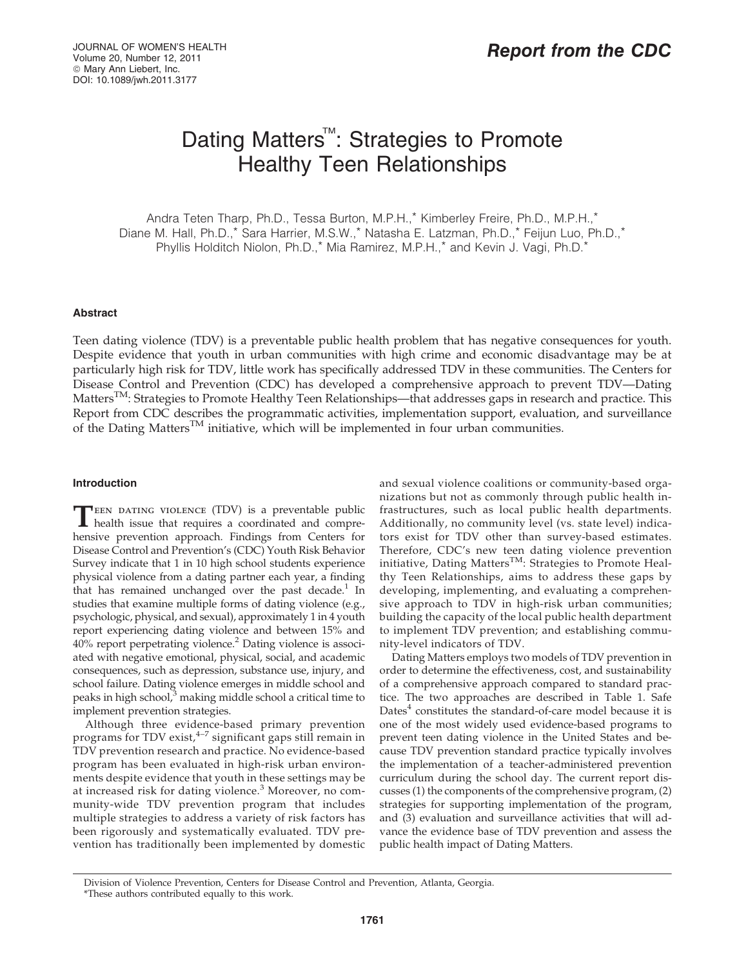# Dating Matters<sup>™</sup>: Strategies to Promote Healthy Teen Relationships

Andra Teten Tharp, Ph.D., Tessa Burton, M.P.H.,\* Kimberley Freire, Ph.D., M.P.H.,\* Diane M. Hall, Ph.D.,\* Sara Harrier, M.S.W.,\* Natasha E. Latzman, Ph.D.,\* Feijun Luo, Ph.D.,\* Phyllis Holditch Niolon, Ph.D.,\* Mia Ramirez, M.P.H.,\* and Kevin J. Vagi, Ph.D.\*

## Abstract

Teen dating violence (TDV) is a preventable public health problem that has negative consequences for youth. Despite evidence that youth in urban communities with high crime and economic disadvantage may be at particularly high risk for TDV, little work has specifically addressed TDV in these communities. The Centers for Disease Control and Prevention (CDC) has developed a comprehensive approach to prevent TDV—Dating Matters<sup>TM</sup>: Strategies to Promote Healthy Teen Relationships—that addresses gaps in research and practice. This Report from CDC describes the programmatic activities, implementation support, evaluation, and surveillance of the Dating Matters<sup>TM</sup> initiative, which will be implemented in four urban communities.

# Introduction

TEEN DATING VIOLENCE (TDV) is a preventable public health issue that requires a coordinated and comprehensive prevention approach. Findings from Centers for Disease Control and Prevention's (CDC) Youth Risk Behavior Survey indicate that 1 in 10 high school students experience physical violence from a dating partner each year, a finding that has remained unchanged over the past decade. $1$  In studies that examine multiple forms of dating violence (e.g., psychologic, physical, and sexual), approximately 1 in 4 youth report experiencing dating violence and between 15% and 40% report perpetrating violence.<sup>2</sup> Dating violence is associated with negative emotional, physical, social, and academic consequences, such as depression, substance use, injury, and school failure. Dating violence emerges in middle school and peaks in high school, $3$  making middle school a critical time to implement prevention strategies.

Although three evidence-based primary prevention programs for TDV exist, $4-7$  significant gaps still remain in TDV prevention research and practice. No evidence-based program has been evaluated in high-risk urban environments despite evidence that youth in these settings may be at increased risk for dating violence.<sup>3</sup> Moreover, no community-wide TDV prevention program that includes multiple strategies to address a variety of risk factors has been rigorously and systematically evaluated. TDV prevention has traditionally been implemented by domestic and sexual violence coalitions or community-based organizations but not as commonly through public health infrastructures, such as local public health departments. Additionally, no community level (vs. state level) indicators exist for TDV other than survey-based estimates. Therefore, CDC's new teen dating violence prevention initiative, Dating Matters<sup>TM</sup>: Strategies to Promote Healthy Teen Relationships, aims to address these gaps by developing, implementing, and evaluating a comprehensive approach to TDV in high-risk urban communities; building the capacity of the local public health department to implement TDV prevention; and establishing community-level indicators of TDV.

Dating Matters employs two models of TDV prevention in order to determine the effectiveness, cost, and sustainability of a comprehensive approach compared to standard practice. The two approaches are described in Table 1. Safe Dates $4$  constitutes the standard-of-care model because it is one of the most widely used evidence-based programs to prevent teen dating violence in the United States and because TDV prevention standard practice typically involves the implementation of a teacher-administered prevention curriculum during the school day. The current report discusses (1) the components of the comprehensive program, (2) strategies for supporting implementation of the program, and (3) evaluation and surveillance activities that will advance the evidence base of TDV prevention and assess the public health impact of Dating Matters.

Division of Violence Prevention, Centers for Disease Control and Prevention, Atlanta, Georgia.

<sup>\*</sup>These authors contributed equally to this work.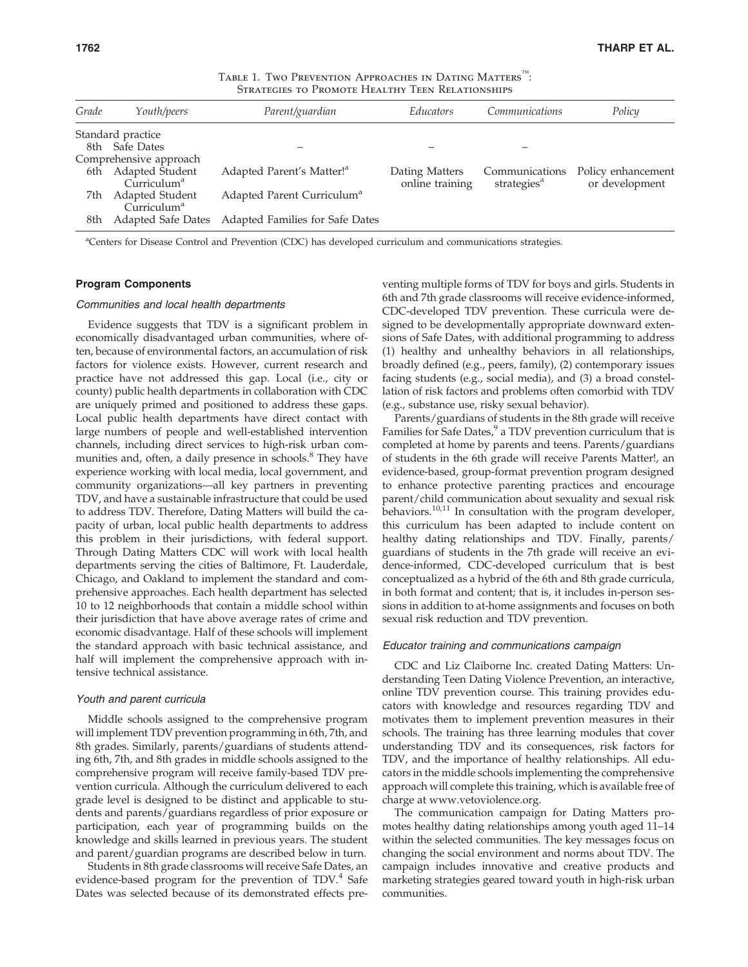|  | TABLE 1. TWO PREVENTION APPROACHES IN DATING MATTERS <sup>TM</sup> : |
|--|----------------------------------------------------------------------|
|  | STRATEGIES TO PROMOTE HEALTHY TEEN RELATIONSHIPS                     |

| Grade | Youth/peers                                   | Parent/guardian                        | <i>Educators</i>                  | Communications                            | Policy                               |
|-------|-----------------------------------------------|----------------------------------------|-----------------------------------|-------------------------------------------|--------------------------------------|
|       | Standard practice                             |                                        |                                   |                                           |                                      |
|       | 8th Safe Dates                                |                                        |                                   |                                           |                                      |
|       | Comprehensive approach                        |                                        |                                   |                                           |                                      |
|       | 6th Adapted Student<br>Currichum <sup>a</sup> | Adapted Parent's Matter! <sup>a</sup>  | Dating Matters<br>online training | Communications<br>strategies <sup>a</sup> | Policy enhancement<br>or development |
| 7th   | Adapted Student<br>Curriculum <sup>a</sup>    | Adapted Parent Curriculum <sup>a</sup> |                                   |                                           |                                      |
| 8th   | <b>Adapted Safe Dates</b>                     | Adapted Families for Safe Dates        |                                   |                                           |                                      |

<sup>a</sup>Centers for Disease Control and Prevention (CDC) has developed curriculum and communications strategies.

## Program Components

#### Communities and local health departments

Evidence suggests that TDV is a significant problem in economically disadvantaged urban communities, where often, because of environmental factors, an accumulation of risk factors for violence exists. However, current research and practice have not addressed this gap. Local (i.e., city or county) public health departments in collaboration with CDC are uniquely primed and positioned to address these gaps. Local public health departments have direct contact with large numbers of people and well-established intervention channels, including direct services to high-risk urban communities and, often, a daily presence in schools.<sup>8</sup> They have experience working with local media, local government, and community organizations—all key partners in preventing TDV, and have a sustainable infrastructure that could be used to address TDV. Therefore, Dating Matters will build the capacity of urban, local public health departments to address this problem in their jurisdictions, with federal support. Through Dating Matters CDC will work with local health departments serving the cities of Baltimore, Ft. Lauderdale, Chicago, and Oakland to implement the standard and comprehensive approaches. Each health department has selected 10 to 12 neighborhoods that contain a middle school within their jurisdiction that have above average rates of crime and economic disadvantage. Half of these schools will implement the standard approach with basic technical assistance, and half will implement the comprehensive approach with intensive technical assistance.

## Youth and parent curricula

Middle schools assigned to the comprehensive program will implement TDV prevention programming in 6th, 7th, and 8th grades. Similarly, parents/guardians of students attending 6th, 7th, and 8th grades in middle schools assigned to the comprehensive program will receive family-based TDV prevention curricula. Although the curriculum delivered to each grade level is designed to be distinct and applicable to students and parents/guardians regardless of prior exposure or participation, each year of programming builds on the knowledge and skills learned in previous years. The student and parent/guardian programs are described below in turn.

Students in 8th grade classrooms will receive Safe Dates, an evidence-based program for the prevention of TDV.<sup>4</sup> Safe Dates was selected because of its demonstrated effects preventing multiple forms of TDV for boys and girls. Students in 6th and 7th grade classrooms will receive evidence-informed, CDC-developed TDV prevention. These curricula were designed to be developmentally appropriate downward extensions of Safe Dates, with additional programming to address (1) healthy and unhealthy behaviors in all relationships, broadly defined (e.g., peers, family), (2) contemporary issues facing students (e.g., social media), and (3) a broad constellation of risk factors and problems often comorbid with TDV (e.g., substance use, risky sexual behavior).

Parents/guardians of students in the 8th grade will receive Families for Safe Dates,<sup>9</sup> a TDV prevention curriculum that is completed at home by parents and teens. Parents/guardians of students in the 6th grade will receive Parents Matter!, an evidence-based, group-format prevention program designed to enhance protective parenting practices and encourage parent/child communication about sexuality and sexual risk behaviors.<sup>10,11</sup> In consultation with the program developer, this curriculum has been adapted to include content on healthy dating relationships and TDV. Finally, parents/ guardians of students in the 7th grade will receive an evidence-informed, CDC-developed curriculum that is best conceptualized as a hybrid of the 6th and 8th grade curricula, in both format and content; that is, it includes in-person sessions in addition to at-home assignments and focuses on both sexual risk reduction and TDV prevention.

## Educator training and communications campaign

CDC and Liz Claiborne Inc. created Dating Matters: Understanding Teen Dating Violence Prevention, an interactive, online TDV prevention course. This training provides educators with knowledge and resources regarding TDV and motivates them to implement prevention measures in their schools. The training has three learning modules that cover understanding TDV and its consequences, risk factors for TDV, and the importance of healthy relationships. All educators in the middle schools implementing the comprehensive approach will complete this training, which is available free of charge at www.vetoviolence.org.

The communication campaign for Dating Matters promotes healthy dating relationships among youth aged 11–14 within the selected communities. The key messages focus on changing the social environment and norms about TDV. The campaign includes innovative and creative products and marketing strategies geared toward youth in high-risk urban communities.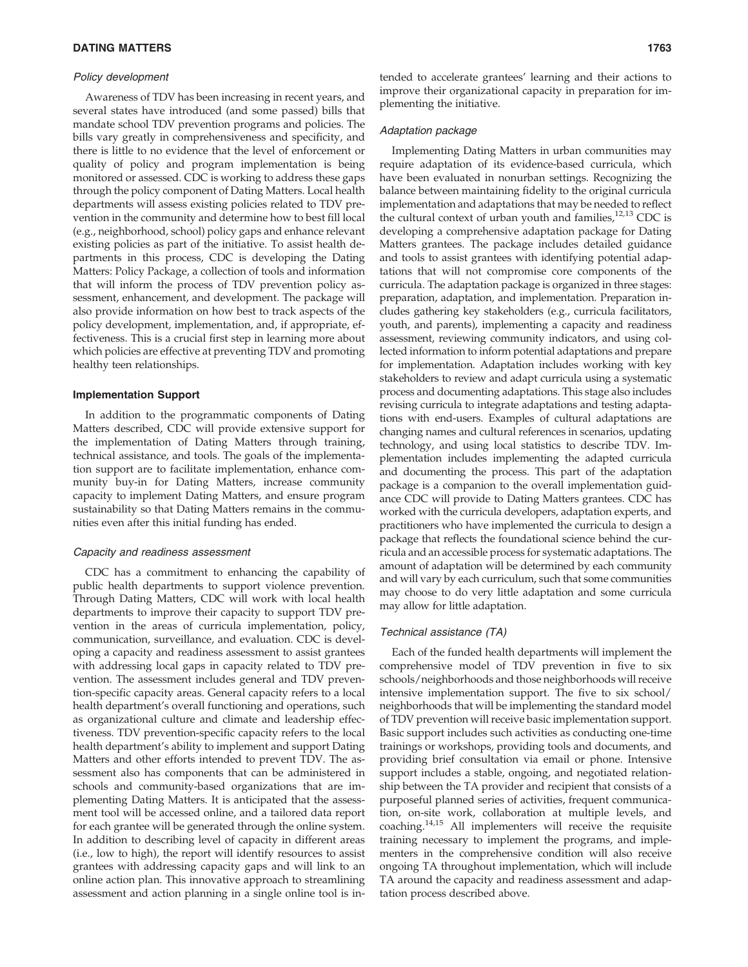## Policy development

Awareness of TDV has been increasing in recent years, and several states have introduced (and some passed) bills that mandate school TDV prevention programs and policies. The bills vary greatly in comprehensiveness and specificity, and there is little to no evidence that the level of enforcement or quality of policy and program implementation is being monitored or assessed. CDC is working to address these gaps through the policy component of Dating Matters. Local health departments will assess existing policies related to TDV prevention in the community and determine how to best fill local (e.g., neighborhood, school) policy gaps and enhance relevant existing policies as part of the initiative. To assist health departments in this process, CDC is developing the Dating Matters: Policy Package, a collection of tools and information that will inform the process of TDV prevention policy assessment, enhancement, and development. The package will also provide information on how best to track aspects of the policy development, implementation, and, if appropriate, effectiveness. This is a crucial first step in learning more about which policies are effective at preventing TDV and promoting healthy teen relationships.

## Implementation Support

In addition to the programmatic components of Dating Matters described, CDC will provide extensive support for the implementation of Dating Matters through training, technical assistance, and tools. The goals of the implementation support are to facilitate implementation, enhance community buy-in for Dating Matters, increase community capacity to implement Dating Matters, and ensure program sustainability so that Dating Matters remains in the communities even after this initial funding has ended.

#### Capacity and readiness assessment

CDC has a commitment to enhancing the capability of public health departments to support violence prevention. Through Dating Matters, CDC will work with local health departments to improve their capacity to support TDV prevention in the areas of curricula implementation, policy, communication, surveillance, and evaluation. CDC is developing a capacity and readiness assessment to assist grantees with addressing local gaps in capacity related to TDV prevention. The assessment includes general and TDV prevention-specific capacity areas. General capacity refers to a local health department's overall functioning and operations, such as organizational culture and climate and leadership effectiveness. TDV prevention-specific capacity refers to the local health department's ability to implement and support Dating Matters and other efforts intended to prevent TDV. The assessment also has components that can be administered in schools and community-based organizations that are implementing Dating Matters. It is anticipated that the assessment tool will be accessed online, and a tailored data report for each grantee will be generated through the online system. In addition to describing level of capacity in different areas (i.e., low to high), the report will identify resources to assist grantees with addressing capacity gaps and will link to an online action plan. This innovative approach to streamlining assessment and action planning in a single online tool is in-

tended to accelerate grantees' learning and their actions to improve their organizational capacity in preparation for implementing the initiative.

#### Adaptation package

Implementing Dating Matters in urban communities may require adaptation of its evidence-based curricula, which have been evaluated in nonurban settings. Recognizing the balance between maintaining fidelity to the original curricula implementation and adaptations that may be needed to reflect the cultural context of urban youth and families, $12,13$  CDC is developing a comprehensive adaptation package for Dating Matters grantees. The package includes detailed guidance and tools to assist grantees with identifying potential adaptations that will not compromise core components of the curricula. The adaptation package is organized in three stages: preparation, adaptation, and implementation. Preparation includes gathering key stakeholders (e.g., curricula facilitators, youth, and parents), implementing a capacity and readiness assessment, reviewing community indicators, and using collected information to inform potential adaptations and prepare for implementation. Adaptation includes working with key stakeholders to review and adapt curricula using a systematic process and documenting adaptations. This stage also includes revising curricula to integrate adaptations and testing adaptations with end-users. Examples of cultural adaptations are changing names and cultural references in scenarios, updating technology, and using local statistics to describe TDV. Implementation includes implementing the adapted curricula and documenting the process. This part of the adaptation package is a companion to the overall implementation guidance CDC will provide to Dating Matters grantees. CDC has worked with the curricula developers, adaptation experts, and practitioners who have implemented the curricula to design a package that reflects the foundational science behind the curricula and an accessible process for systematic adaptations. The amount of adaptation will be determined by each community and will vary by each curriculum, such that some communities may choose to do very little adaptation and some curricula may allow for little adaptation.

## Technical assistance (TA)

Each of the funded health departments will implement the comprehensive model of TDV prevention in five to six schools/neighborhoods and those neighborhoods will receive intensive implementation support. The five to six school/ neighborhoods that will be implementing the standard model of TDV prevention will receive basic implementation support. Basic support includes such activities as conducting one-time trainings or workshops, providing tools and documents, and providing brief consultation via email or phone. Intensive support includes a stable, ongoing, and negotiated relationship between the TA provider and recipient that consists of a purposeful planned series of activities, frequent communication, on-site work, collaboration at multiple levels, and coaching.14,15 All implementers will receive the requisite training necessary to implement the programs, and implementers in the comprehensive condition will also receive ongoing TA throughout implementation, which will include TA around the capacity and readiness assessment and adaptation process described above.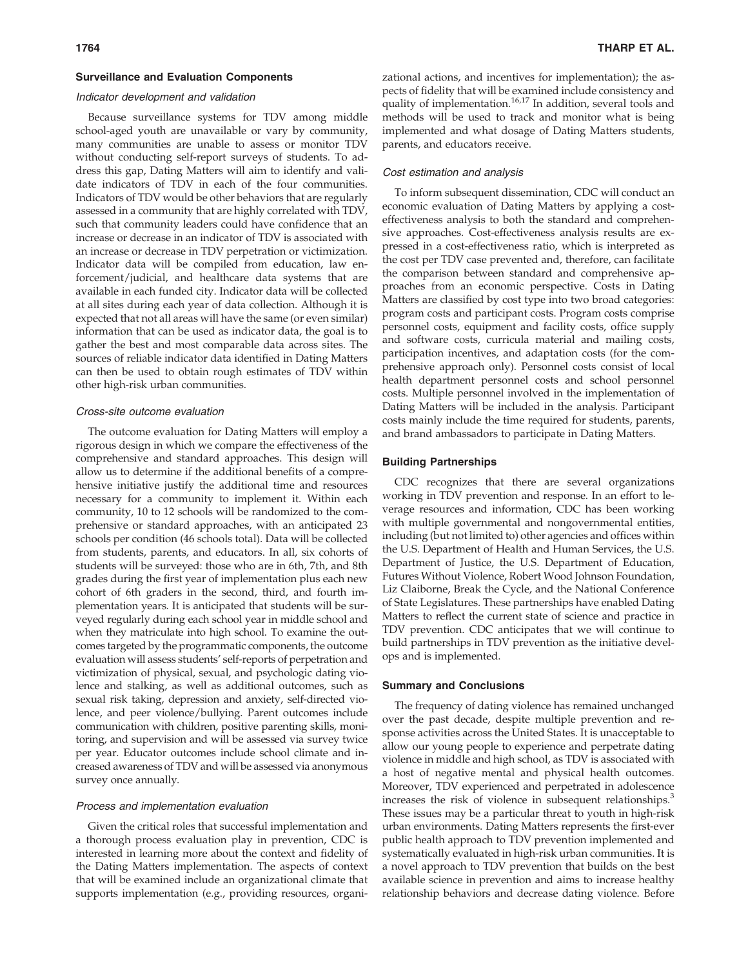## Surveillance and Evaluation Components

### Indicator development and validation

Because surveillance systems for TDV among middle school-aged youth are unavailable or vary by community, many communities are unable to assess or monitor TDV without conducting self-report surveys of students. To address this gap, Dating Matters will aim to identify and validate indicators of TDV in each of the four communities. Indicators of TDV would be other behaviors that are regularly assessed in a community that are highly correlated with TDV, such that community leaders could have confidence that an increase or decrease in an indicator of TDV is associated with an increase or decrease in TDV perpetration or victimization. Indicator data will be compiled from education, law enforcement/judicial, and healthcare data systems that are available in each funded city. Indicator data will be collected at all sites during each year of data collection. Although it is expected that not all areas will have the same (or even similar) information that can be used as indicator data, the goal is to gather the best and most comparable data across sites. The sources of reliable indicator data identified in Dating Matters can then be used to obtain rough estimates of TDV within other high-risk urban communities.

### Cross-site outcome evaluation

The outcome evaluation for Dating Matters will employ a rigorous design in which we compare the effectiveness of the comprehensive and standard approaches. This design will allow us to determine if the additional benefits of a comprehensive initiative justify the additional time and resources necessary for a community to implement it. Within each community, 10 to 12 schools will be randomized to the comprehensive or standard approaches, with an anticipated 23 schools per condition (46 schools total). Data will be collected from students, parents, and educators. In all, six cohorts of students will be surveyed: those who are in 6th, 7th, and 8th grades during the first year of implementation plus each new cohort of 6th graders in the second, third, and fourth implementation years. It is anticipated that students will be surveyed regularly during each school year in middle school and when they matriculate into high school. To examine the outcomes targeted by the programmatic components, the outcome evaluation will assess students' self-reports of perpetration and victimization of physical, sexual, and psychologic dating violence and stalking, as well as additional outcomes, such as sexual risk taking, depression and anxiety, self-directed violence, and peer violence/bullying. Parent outcomes include communication with children, positive parenting skills, monitoring, and supervision and will be assessed via survey twice per year. Educator outcomes include school climate and increased awareness of TDV and will be assessed via anonymous survey once annually.

## Process and implementation evaluation

Given the critical roles that successful implementation and a thorough process evaluation play in prevention, CDC is interested in learning more about the context and fidelity of the Dating Matters implementation. The aspects of context that will be examined include an organizational climate that supports implementation (e.g., providing resources, organizational actions, and incentives for implementation); the aspects of fidelity that will be examined include consistency and quality of implementation.<sup>16,17</sup> In addition, several tools and methods will be used to track and monitor what is being implemented and what dosage of Dating Matters students, parents, and educators receive.

#### Cost estimation and analysis

To inform subsequent dissemination, CDC will conduct an economic evaluation of Dating Matters by applying a costeffectiveness analysis to both the standard and comprehensive approaches. Cost-effectiveness analysis results are expressed in a cost-effectiveness ratio, which is interpreted as the cost per TDV case prevented and, therefore, can facilitate the comparison between standard and comprehensive approaches from an economic perspective. Costs in Dating Matters are classified by cost type into two broad categories: program costs and participant costs. Program costs comprise personnel costs, equipment and facility costs, office supply and software costs, curricula material and mailing costs, participation incentives, and adaptation costs (for the comprehensive approach only). Personnel costs consist of local health department personnel costs and school personnel costs. Multiple personnel involved in the implementation of Dating Matters will be included in the analysis. Participant costs mainly include the time required for students, parents, and brand ambassadors to participate in Dating Matters.

## Building Partnerships

CDC recognizes that there are several organizations working in TDV prevention and response. In an effort to leverage resources and information, CDC has been working with multiple governmental and nongovernmental entities, including (but not limited to) other agencies and offices within the U.S. Department of Health and Human Services, the U.S. Department of Justice, the U.S. Department of Education, Futures Without Violence, Robert Wood Johnson Foundation, Liz Claiborne, Break the Cycle, and the National Conference of State Legislatures. These partnerships have enabled Dating Matters to reflect the current state of science and practice in TDV prevention. CDC anticipates that we will continue to build partnerships in TDV prevention as the initiative develops and is implemented.

#### Summary and Conclusions

The frequency of dating violence has remained unchanged over the past decade, despite multiple prevention and response activities across the United States. It is unacceptable to allow our young people to experience and perpetrate dating violence in middle and high school, as TDV is associated with a host of negative mental and physical health outcomes. Moreover, TDV experienced and perpetrated in adolescence increases the risk of violence in subsequent relationships.<sup>3</sup> These issues may be a particular threat to youth in high-risk urban environments. Dating Matters represents the first-ever public health approach to TDV prevention implemented and systematically evaluated in high-risk urban communities. It is a novel approach to TDV prevention that builds on the best available science in prevention and aims to increase healthy relationship behaviors and decrease dating violence. Before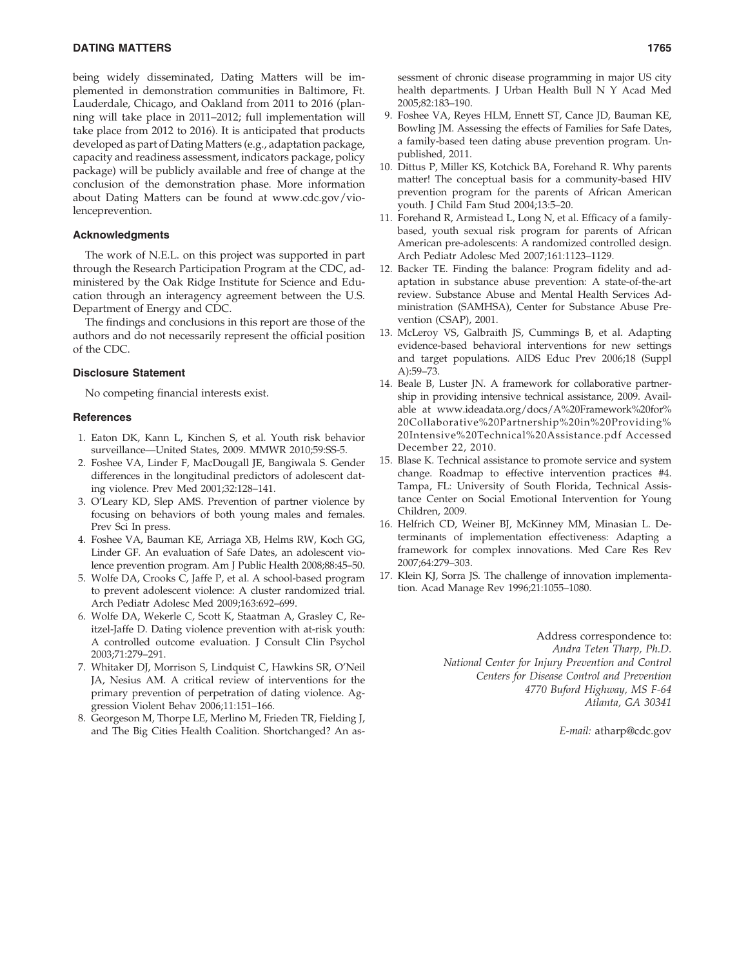# **DATING MATTERS** 1765

being widely disseminated, Dating Matters will be implemented in demonstration communities in Baltimore, Ft. Lauderdale, Chicago, and Oakland from 2011 to 2016 (planning will take place in 2011–2012; full implementation will take place from 2012 to 2016). It is anticipated that products developed as part of Dating Matters (e.g., adaptation package, capacity and readiness assessment, indicators package, policy package) will be publicly available and free of change at the conclusion of the demonstration phase. More information about Dating Matters can be found at www.cdc.gov/violenceprevention.

## Acknowledgments

The work of N.E.L. on this project was supported in part through the Research Participation Program at the CDC, administered by the Oak Ridge Institute for Science and Education through an interagency agreement between the U.S. Department of Energy and CDC.

The findings and conclusions in this report are those of the authors and do not necessarily represent the official position of the CDC.

#### Disclosure Statement

No competing financial interests exist.

#### **References**

- 1. Eaton DK, Kann L, Kinchen S, et al. Youth risk behavior surveillance—United States, 2009. MMWR 2010;59:SS-5.
- 2. Foshee VA, Linder F, MacDougall JE, Bangiwala S. Gender differences in the longitudinal predictors of adolescent dating violence. Prev Med 2001;32:128–141.
- 3. O'Leary KD, Slep AMS. Prevention of partner violence by focusing on behaviors of both young males and females. Prev Sci In press.
- 4. Foshee VA, Bauman KE, Arriaga XB, Helms RW, Koch GG, Linder GF. An evaluation of Safe Dates, an adolescent violence prevention program. Am J Public Health 2008;88:45–50.
- 5. Wolfe DA, Crooks C, Jaffe P, et al. A school-based program to prevent adolescent violence: A cluster randomized trial. Arch Pediatr Adolesc Med 2009;163:692–699.
- 6. Wolfe DA, Wekerle C, Scott K, Staatman A, Grasley C, Reitzel-Jaffe D. Dating violence prevention with at-risk youth: A controlled outcome evaluation. J Consult Clin Psychol 2003;71:279–291.
- 7. Whitaker DJ, Morrison S, Lindquist C, Hawkins SR, O'Neil JA, Nesius AM. A critical review of interventions for the primary prevention of perpetration of dating violence. Aggression Violent Behav 2006;11:151–166.
- 8. Georgeson M, Thorpe LE, Merlino M, Frieden TR, Fielding J, and The Big Cities Health Coalition. Shortchanged? An as-

sessment of chronic disease programming in major US city health departments. J Urban Health Bull N Y Acad Med 2005;82:183–190.

- 9. Foshee VA, Reyes HLM, Ennett ST, Cance JD, Bauman KE, Bowling JM. Assessing the effects of Families for Safe Dates, a family-based teen dating abuse prevention program. Unpublished, 2011.
- 10. Dittus P, Miller KS, Kotchick BA, Forehand R. Why parents matter! The conceptual basis for a community-based HIV prevention program for the parents of African American youth. J Child Fam Stud 2004;13:5–20.
- 11. Forehand R, Armistead L, Long N, et al. Efficacy of a familybased, youth sexual risk program for parents of African American pre-adolescents: A randomized controlled design. Arch Pediatr Adolesc Med 2007;161:1123–1129.
- 12. Backer TE. Finding the balance: Program fidelity and adaptation in substance abuse prevention: A state-of-the-art review. Substance Abuse and Mental Health Services Administration (SAMHSA), Center for Substance Abuse Prevention (CSAP), 2001.
- 13. McLeroy VS, Galbraith JS, Cummings B, et al. Adapting evidence-based behavioral interventions for new settings and target populations. AIDS Educ Prev 2006;18 (Suppl A):59–73.
- 14. Beale B, Luster JN. A framework for collaborative partnership in providing intensive technical assistance, 2009. Available at www.ideadata.org/docs/A%20Framework%20for% 20Collaborative%20Partnership%20in%20Providing% 20Intensive%20Technical%20Assistance.pdf Accessed December 22, 2010.
- 15. Blase K. Technical assistance to promote service and system change. Roadmap to effective intervention practices #4. Tampa, FL: University of South Florida, Technical Assistance Center on Social Emotional Intervention for Young Children, 2009.
- 16. Helfrich CD, Weiner BJ, McKinney MM, Minasian L. Determinants of implementation effectiveness: Adapting a framework for complex innovations. Med Care Res Rev 2007;64:279–303.
- 17. Klein KJ, Sorra JS. The challenge of innovation implementation. Acad Manage Rev 1996;21:1055–1080.

Address correspondence to: Andra Teten Tharp, Ph.D. National Center for Injury Prevention and Control Centers for Disease Control and Prevention 4770 Buford Highway, MS F-64 Atlanta, GA 30341

E-mail: atharp@cdc.gov